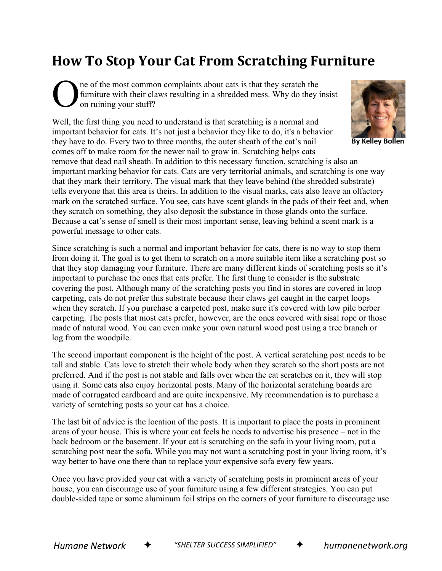## **How To Stop Your Cat From Scratching Furniture**

ne of the most common complaints about cats is that they scratch the furniture with their claws resulting in a shredded mess. Why do they insist on ruining your stuff? O

Well, the first thing you need to understand is that scratching is a normal and important behavior for cats. It's not just a behavior they like to do, it's a behavior they have to do. Every two to three months, the outer sheath of the cat's nail comes off to make room for the newer nail to grow in. Scratching helps cats



**By Kelley Bollen**

remove that dead nail sheath. In addition to this necessary function, scratching is also an important marking behavior for cats. Cats are very territorial animals, and scratching is one way that they mark their territory. The visual mark that they leave behind (the shredded substrate) tells everyone that this area is theirs. In addition to the visual marks, cats also leave an olfactory mark on the scratched surface. You see, cats have scent glands in the pads of their feet and, when they scratch on something, they also deposit the substance in those glands onto the surface. Because a cat's sense of smell is their most important sense, leaving behind a scent mark is a powerful message to other cats.

Since scratching is such a normal and important behavior for cats, there is no way to stop them from doing it. The goal is to get them to scratch on a more suitable item like a scratching post so that they stop damaging your furniture. There are many different kinds of scratching posts so it's important to purchase the ones that cats prefer. The first thing to consider is the substrate covering the post. Although many of the scratching posts you find in stores are covered in loop carpeting, cats do not prefer this substrate because their claws get caught in the carpet loops when they scratch. If you purchase a carpeted post, make sure it's covered with low pile berber carpeting. The posts that most cats prefer, however, are the ones covered with sisal rope or those made of natural wood. You can even make your own natural wood post using a tree branch or log from the woodpile.

The second important component is the height of the post. A vertical scratching post needs to be tall and stable. Cats love to stretch their whole body when they scratch so the short posts are not preferred. And if the post is not stable and falls over when the cat scratches on it, they will stop using it. Some cats also enjoy horizontal posts. Many of the horizontal scratching boards are made of corrugated cardboard and are quite inexpensive. My recommendation is to purchase a variety of scratching posts so your cat has a choice.

The last bit of advice is the location of the posts. It is important to place the posts in prominent areas of your house. This is where your cat feels he needs to advertise his presence – not in the back bedroom or the basement. If your cat is scratching on the sofa in your living room, put a scratching post near the sofa. While you may not want a scratching post in your living room, it's way better to have one there than to replace your expensive sofa every few years.

Once you have provided your cat with a variety of scratching posts in prominent areas of your house, you can discourage use of your furniture using a few different strategies. You can put double-sided tape or some aluminum foil strips on the corners of your furniture to discourage use